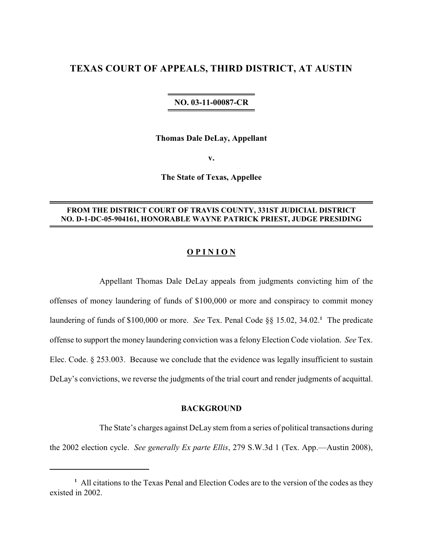# **TEXAS COURT OF APPEALS, THIRD DISTRICT, AT AUSTIN**

#### **NO. 03-11-00087-CR**

**Thomas Dale DeLay, Appellant**

**v.**

**The State of Texas, Appellee**

# **FROM THE DISTRICT COURT OF TRAVIS COUNTY, 331ST JUDICIAL DISTRICT NO. D-1-DC-05-904161, HONORABLE WAYNE PATRICK PRIEST, JUDGE PRESIDING**

## **O P I N I O N**

Appellant Thomas Dale DeLay appeals from judgments convicting him of the offenses of money laundering of funds of \$100,000 or more and conspiracy to commit money laundering of funds of \$100,000 or more. *See* Tex. Penal Code §§ 15.02, 34.02.<sup>1</sup> The predicate offense to support the money laundering conviction was a felonyElection Code violation. *See* Tex. Elec. Code. § 253.003. Because we conclude that the evidence was legally insufficient to sustain DeLay's convictions, we reverse the judgments of the trial court and render judgments of acquittal.

#### **BACKGROUND**

The State's charges against DeLay stem from a series of political transactions during the 2002 election cycle. *See generally Ex parte Ellis*, 279 S.W.3d 1 (Tex. App.—Austin 2008),

<sup>&</sup>lt;sup>1</sup> All citations to the Texas Penal and Election Codes are to the version of the codes as they existed in 2002.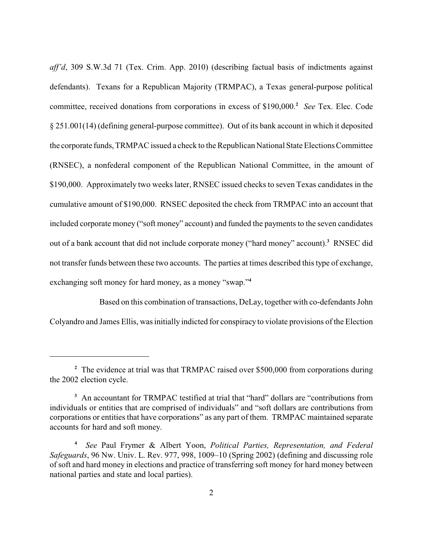*aff'd*, 309 S.W.3d 71 (Tex. Crim. App. 2010) (describing factual basis of indictments against defendants). Texans for a Republican Majority (TRMPAC), a Texas general-purpose political committee, received donations from corporations in excess of \$190,000.<sup>2</sup> See Tex. Elec. Code § 251.001(14) (defining general-purpose committee). Out of its bank account in which it deposited the corporate funds, TRMPAC issued a check to the Republican National State Elections Committee (RNSEC), a nonfederal component of the Republican National Committee, in the amount of \$190,000. Approximately two weeks later, RNSEC issued checks to seven Texas candidates in the cumulative amount of \$190,000. RNSEC deposited the check from TRMPAC into an account that included corporate money ("soft money" account) and funded the payments to the seven candidates out of a bank account that did not include corporate money ("hard money" account).<sup>3</sup> RNSEC did not transfer funds between these two accounts. The parties at times described this type of exchange, exchanging soft money for hard money, as a money "swap."**<sup>4</sup>**

Based on this combination of transactions, DeLay, together with co-defendants John Colyandro and James Ellis, was initially indicted for conspiracy to violate provisions of the Election

<sup>&</sup>lt;sup>2</sup> The evidence at trial was that TRMPAC raised over \$500,000 from corporations during the 2002 election cycle.

<sup>&</sup>lt;sup>3</sup> An accountant for TRMPAC testified at trial that "hard" dollars are "contributions from individuals or entities that are comprised of individuals" and "soft dollars are contributions from corporations or entities that have corporations" as any part of them. TRMPAC maintained separate accounts for hard and soft money.

*See* Paul Frymer & Albert Yoon, *Political Parties, Representation, and Federal* **<sup>4</sup>** *Safeguards*, 96 Nw. Univ. L. Rev. 977, 998, 1009–10 (Spring 2002) (defining and discussing role of soft and hard money in elections and practice of transferring soft money for hard money between national parties and state and local parties).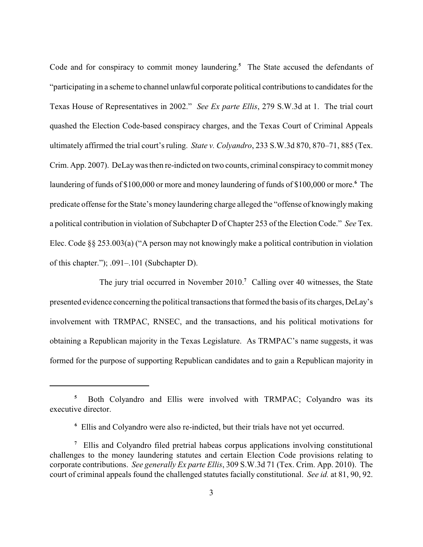Code and for conspiracy to commit money laundering.<sup>5</sup> The State accused the defendants of "participating in a scheme to channel unlawful corporate political contributions to candidates for the Texas House of Representatives in 2002." *See Ex parte Ellis*, 279 S.W.3d at 1. The trial court quashed the Election Code-based conspiracy charges, and the Texas Court of Criminal Appeals ultimately affirmed the trial court's ruling. *State v. Colyandro*, 233 S.W.3d 870, 870–71, 885 (Tex. Crim. App. 2007). DeLaywas then re-indicted on two counts, criminal conspiracy to commit money laundering of funds of \$100,000 or more and money laundering of funds of \$100,000 or more.<sup>6</sup> The predicate offense for the State's money laundering charge alleged the "offense of knowinglymaking a political contribution in violation of Subchapter D of Chapter 253 of the Election Code." *See* Tex. Elec. Code §§ 253.003(a) ("A person may not knowingly make a political contribution in violation of this chapter."); .091–.101 (Subchapter D).

The jury trial occurred in November 2010.<sup>7</sup> Calling over 40 witnesses, the State presented evidence concerning the political transactions that formed the basis of its charges, DeLay's involvement with TRMPAC, RNSEC, and the transactions, and his political motivations for obtaining a Republican majority in the Texas Legislature. As TRMPAC's name suggests, it was formed for the purpose of supporting Republican candidates and to gain a Republican majority in

<sup>&</sup>lt;sup>5</sup> Both Colyandro and Ellis were involved with TRMPAC; Colyandro was its executive director.

Ellis and Colyandro were also re-indicted, but their trials have not yet occurred. **<sup>6</sup>**

Ellis and Colyandro filed pretrial habeas corpus applications involving constitutional **7** challenges to the money laundering statutes and certain Election Code provisions relating to corporate contributions. *See generally Ex parte Ellis*, 309 S.W.3d 71 (Tex. Crim. App. 2010). The court of criminal appeals found the challenged statutes facially constitutional. *See id.* at 81, 90, 92.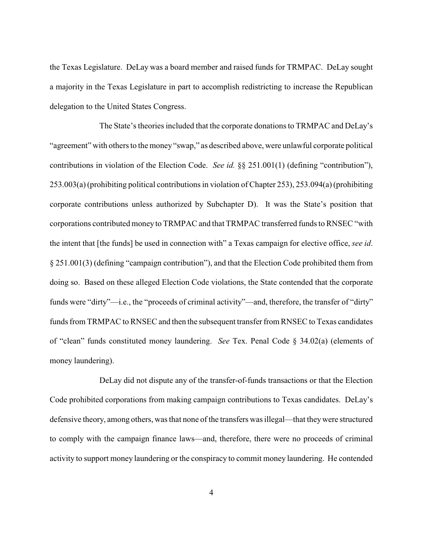the Texas Legislature. DeLay was a board member and raised funds for TRMPAC. DeLay sought a majority in the Texas Legislature in part to accomplish redistricting to increase the Republican delegation to the United States Congress.

The State's theories included that the corporate donations to TRMPAC and DeLay's "agreement" with others to the money "swap," as described above, were unlawful corporate political contributions in violation of the Election Code. *See id.* §§ 251.001(1) (defining "contribution"), 253.003(a)(prohibiting political contributions in violation of Chapter 253), 253.094(a)(prohibiting corporate contributions unless authorized by Subchapter D). It was the State's position that corporations contributed money to TRMPAC and that TRMPAC transferred funds to RNSEC "with the intent that [the funds] be used in connection with" a Texas campaign for elective office, *see id*. § 251.001(3) (defining "campaign contribution"), and that the Election Code prohibited them from doing so. Based on these alleged Election Code violations, the State contended that the corporate funds were "dirty"—i.e., the "proceeds of criminal activity"—and, therefore, the transfer of "dirty" funds from TRMPAC to RNSEC and then the subsequent transfer from RNSEC to Texas candidates of "clean" funds constituted money laundering. *See* Tex. Penal Code § 34.02(a) (elements of money laundering).

DeLay did not dispute any of the transfer-of-funds transactions or that the Election Code prohibited corporations from making campaign contributions to Texas candidates. DeLay's defensive theory, among others, was that none of the transfers was illegal—that theywere structured to comply with the campaign finance laws—and, therefore, there were no proceeds of criminal activity to support money laundering or the conspiracy to commit money laundering. He contended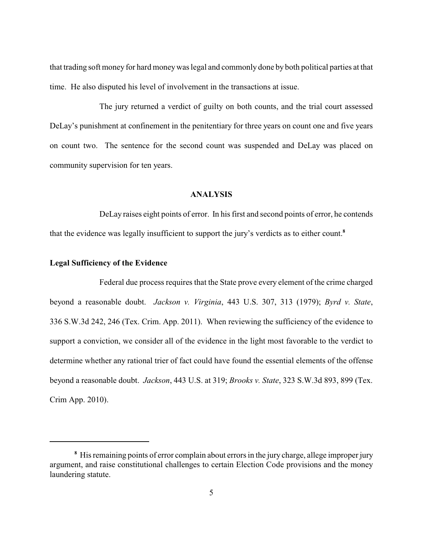that trading soft money for hard moneywas legal and commonly done by both political parties at that time. He also disputed his level of involvement in the transactions at issue.

The jury returned a verdict of guilty on both counts, and the trial court assessed DeLay's punishment at confinement in the penitentiary for three years on count one and five years on count two. The sentence for the second count was suspended and DeLay was placed on community supervision for ten years.

# **ANALYSIS**

DeLay raises eight points of error. In his first and second points of error, he contends that the evidence was legally insufficient to support the jury's verdicts as to either count.**<sup>8</sup>**

#### **Legal Sufficiency of the Evidence**

Federal due process requires that the State prove every element of the crime charged beyond a reasonable doubt. *Jackson v. Virginia*, 443 U.S. 307, 313 (1979); *Byrd v. State*, 336 S.W.3d 242, 246 (Tex. Crim. App. 2011). When reviewing the sufficiency of the evidence to support a conviction, we consider all of the evidence in the light most favorable to the verdict to determine whether any rational trier of fact could have found the essential elements of the offense beyond a reasonable doubt. *Jackson*, 443 U.S. at 319; *Brooks v. State*, 323 S.W.3d 893, 899 (Tex. Crim App. 2010).

<sup>&</sup>lt;sup>8</sup> His remaining points of error complain about errors in the jury charge, allege improper jury argument, and raise constitutional challenges to certain Election Code provisions and the money laundering statute.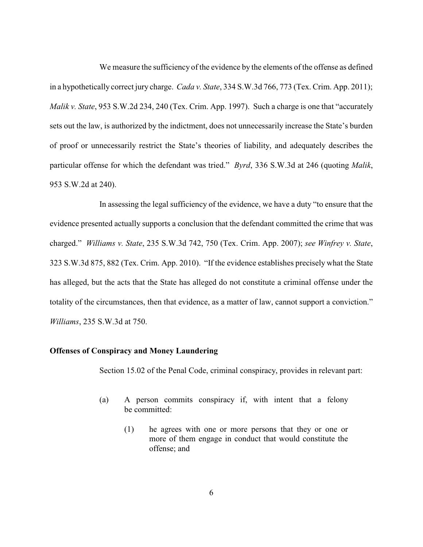We measure the sufficiency of the evidence by the elements of the offense as defined in a hypothetically correct jury charge. *Cada v. State*, 334 S.W.3d 766, 773 (Tex. Crim. App. 2011); *Malik v. State*, 953 S.W.2d 234, 240 (Tex. Crim. App. 1997). Such a charge is one that "accurately sets out the law, is authorized by the indictment, does not unnecessarily increase the State's burden of proof or unnecessarily restrict the State's theories of liability, and adequately describes the particular offense for which the defendant was tried." *Byrd*, 336 S.W.3d at 246 (quoting *Malik*, 953 S.W.2d at 240).

In assessing the legal sufficiency of the evidence, we have a duty "to ensure that the evidence presented actually supports a conclusion that the defendant committed the crime that was charged." *Williams v. State*, 235 S.W.3d 742, 750 (Tex. Crim. App. 2007); *see Winfrey v. State*, 323 S.W.3d 875, 882 (Tex. Crim. App. 2010). "If the evidence establishes precisely what the State has alleged, but the acts that the State has alleged do not constitute a criminal offense under the totality of the circumstances, then that evidence, as a matter of law, cannot support a conviction." *Williams*, 235 S.W.3d at 750.

# **Offenses of Conspiracy and Money Laundering**

Section 15.02 of the Penal Code, criminal conspiracy, provides in relevant part:

- (a) A person commits conspiracy if, with intent that a felony be committed:
	- (1) he agrees with one or more persons that they or one or more of them engage in conduct that would constitute the offense; and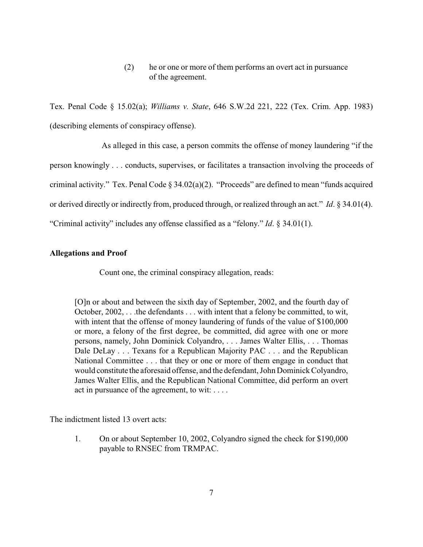(2) he or one or more of them performs an overt act in pursuance of the agreement.

Tex. Penal Code § 15.02(a); *Williams v. State*, 646 S.W.2d 221, 222 (Tex. Crim. App. 1983) (describing elements of conspiracy offense).

As alleged in this case, a person commits the offense of money laundering "if the person knowingly . . . conducts, supervises, or facilitates a transaction involving the proceeds of criminal activity." Tex. Penal Code § 34.02(a)(2). "Proceeds" are defined to mean "funds acquired or derived directly or indirectly from, produced through, or realized through an act." *Id*. § 34.01(4). "Criminal activity" includes any offense classified as a "felony." *Id*. § 34.01(1).

### **Allegations and Proof**

Count one, the criminal conspiracy allegation, reads:

[O]n or about and between the sixth day of September, 2002, and the fourth day of October, 2002, . . .the defendants . . . with intent that a felony be committed, to wit, with intent that the offense of money laundering of funds of the value of \$100,000 or more, a felony of the first degree, be committed, did agree with one or more persons, namely, John Dominick Colyandro, . . . James Walter Ellis, . . . Thomas Dale DeLay . . . Texans for a Republican Majority PAC . . . and the Republican National Committee . . . that they or one or more of them engage in conduct that would constitute the aforesaid offense, and the defendant, John Dominick Colyandro, James Walter Ellis, and the Republican National Committee, did perform an overt act in pursuance of the agreement, to wit: . . . .

The indictment listed 13 overt acts:

1. On or about September 10, 2002, Colyandro signed the check for \$190,000 payable to RNSEC from TRMPAC.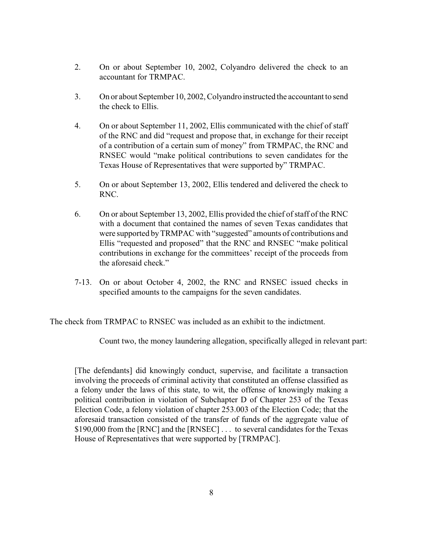- 2. On or about September 10, 2002, Colyandro delivered the check to an accountant for TRMPAC.
- 3. On or about September 10, 2002, Colyandro instructed the accountant to send the check to Ellis.
- 4. On or about September 11, 2002, Ellis communicated with the chief of staff of the RNC and did "request and propose that, in exchange for their receipt of a contribution of a certain sum of money" from TRMPAC, the RNC and RNSEC would "make political contributions to seven candidates for the Texas House of Representatives that were supported by" TRMPAC.
- 5. On or about September 13, 2002, Ellis tendered and delivered the check to RNC.
- 6. On or about September 13, 2002, Ellis provided the chief of staff of the RNC with a document that contained the names of seven Texas candidates that were supported by TRMPAC with "suggested" amounts of contributions and Ellis "requested and proposed" that the RNC and RNSEC "make political contributions in exchange for the committees' receipt of the proceeds from the aforesaid check."
- 7-13. On or about October 4, 2002, the RNC and RNSEC issued checks in specified amounts to the campaigns for the seven candidates.

The check from TRMPAC to RNSEC was included as an exhibit to the indictment.

Count two, the money laundering allegation, specifically alleged in relevant part:

[The defendants] did knowingly conduct, supervise, and facilitate a transaction involving the proceeds of criminal activity that constituted an offense classified as a felony under the laws of this state, to wit, the offense of knowingly making a political contribution in violation of Subchapter D of Chapter 253 of the Texas Election Code, a felony violation of chapter 253.003 of the Election Code; that the aforesaid transaction consisted of the transfer of funds of the aggregate value of \$190,000 from the [RNC] and the [RNSEC] . . . to several candidates for the Texas House of Representatives that were supported by [TRMPAC].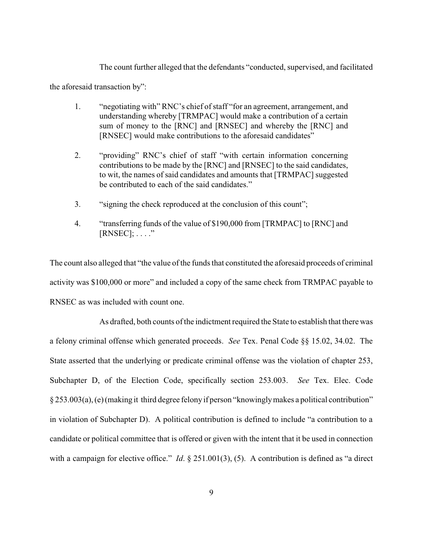The count further alleged that the defendants "conducted, supervised, and facilitated

the aforesaid transaction by":

- 1. "negotiating with" RNC's chief of staff "for an agreement, arrangement, and understanding whereby [TRMPAC] would make a contribution of a certain sum of money to the [RNC] and [RNSEC] and whereby the [RNC] and [RNSEC] would make contributions to the aforesaid candidates"
- 2. "providing" RNC's chief of staff "with certain information concerning contributions to be made by the [RNC] and [RNSEC] to the said candidates, to wit, the names of said candidates and amounts that [TRMPAC] suggested be contributed to each of the said candidates."
- 3. "signing the check reproduced at the conclusion of this count";
- 4. "transferring funds of the value of \$190,000 from [TRMPAC] to [RNC] and  $[RNSEC]; \ldots$ ."

The count also alleged that "the value of the funds that constituted the aforesaid proceeds of criminal activity was \$100,000 or more" and included a copy of the same check from TRMPAC payable to RNSEC as was included with count one.

As drafted, both counts of the indictment required the State to establish that there was a felony criminal offense which generated proceeds. *See* Tex. Penal Code §§ 15.02, 34.02. The State asserted that the underlying or predicate criminal offense was the violation of chapter 253, Subchapter D, of the Election Code, specifically section 253.003. *See* Tex. Elec. Code § 253.003(a), (e)(making it third degree felony if person "knowinglymakes a political contribution" in violation of Subchapter D). A political contribution is defined to include "a contribution to a candidate or political committee that is offered or given with the intent that it be used in connection with a campaign for elective office." *Id.* § 251.001(3), (5). A contribution is defined as "a direct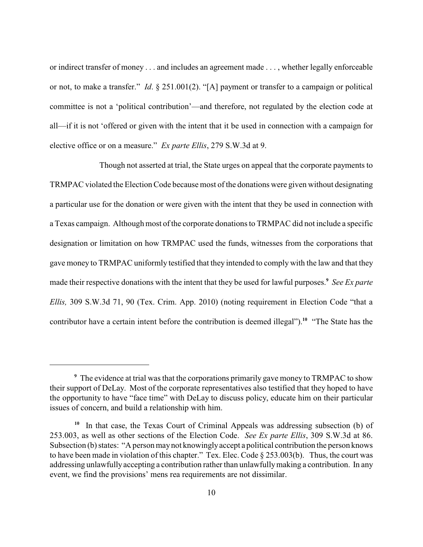or indirect transfer of money . . . and includes an agreement made . . . , whether legally enforceable or not, to make a transfer." *Id*. § 251.001(2). "[A] payment or transfer to a campaign or political committee is not a 'political contribution'—and therefore, not regulated by the election code at all—if it is not 'offered or given with the intent that it be used in connection with a campaign for elective office or on a measure." *Ex parte Ellis*, 279 S.W.3d at 9.

Though not asserted at trial, the State urges on appeal that the corporate payments to TRMPAC violated the Election Code because most of the donations were given without designating a particular use for the donation or were given with the intent that they be used in connection with a Texas campaign. Although most of the corporate donations to TRMPAC did not include a specific designation or limitation on how TRMPAC used the funds, witnesses from the corporations that gave money to TRMPAC uniformly testified that they intended to comply with the law and that they made their respective donations with the intent that they be used for lawful purposes.<sup>9</sup> See Ex parte *Ellis,* 309 S.W.3d 71, 90 (Tex. Crim. App. 2010) (noting requirement in Election Code "that a contributor have a certain intent before the contribution is deemed illegal").<sup>10</sup> "The State has the

The evidence at trial was that the corporations primarily gave money to TRMPAC to show **<sup>9</sup>** their support of DeLay. Most of the corporate representatives also testified that they hoped to have the opportunity to have "face time" with DeLay to discuss policy, educate him on their particular issues of concern, and build a relationship with him.

<sup>&</sup>lt;sup>10</sup> In that case, the Texas Court of Criminal Appeals was addressing subsection (b) of 253.003, as well as other sections of the Election Code. *See Ex parte Ellis*, 309 S.W.3d at 86. Subsection (b) states: "A person maynot knowinglyaccept a political contribution the person knows to have been made in violation of this chapter." Tex. Elec. Code § 253.003(b). Thus, the court was addressing unlawfully accepting a contribution rather than unlawfullymaking a contribution. In any event, we find the provisions' mens rea requirements are not dissimilar.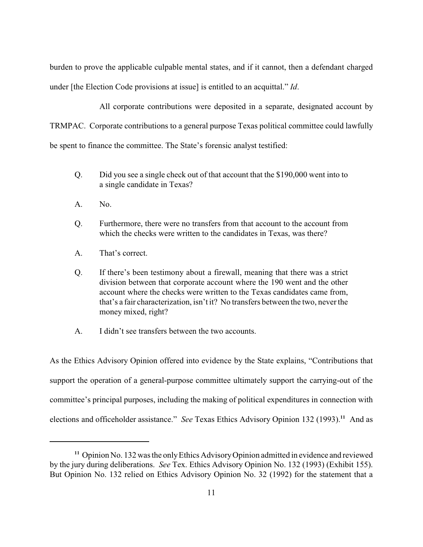burden to prove the applicable culpable mental states, and if it cannot, then a defendant charged under [the Election Code provisions at issue] is entitled to an acquittal." *Id*.

All corporate contributions were deposited in a separate, designated account by TRMPAC. Corporate contributions to a general purpose Texas political committee could lawfully be spent to finance the committee. The State's forensic analyst testified:

- Q. Did you see a single check out of that account that the \$190,000 went into to a single candidate in Texas?
- A. No.
- Q. Furthermore, there were no transfers from that account to the account from which the checks were written to the candidates in Texas, was there?
- A. That's correct.
- Q. If there's been testimony about a firewall, meaning that there was a strict division between that corporate account where the 190 went and the other account where the checks were written to the Texas candidates came from, that's a fair characterization, isn't it? No transfers between the two, neverthe money mixed, right?
- A. I didn't see transfers between the two accounts.

As the Ethics Advisory Opinion offered into evidence by the State explains, "Contributions that support the operation of a general-purpose committee ultimately support the carrying-out of the committee's principal purposes, including the making of political expenditures in connection with elections and officeholder assistance." *See* Texas Ethics Advisory Opinion 132 (1993).<sup>11</sup> And as

<sup>&</sup>lt;sup>11</sup> Opinion No. 132 was the only Ethics Advisory Opinion admitted in evidence and reviewed by the jury during deliberations. *See* Tex. Ethics Advisory Opinion No. 132 (1993) (Exhibit 155). But Opinion No. 132 relied on Ethics Advisory Opinion No. 32 (1992) for the statement that a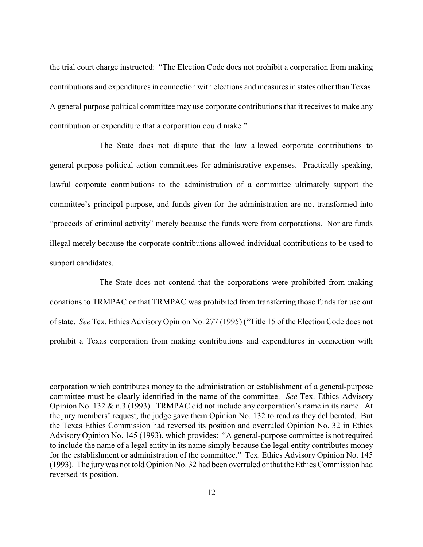the trial court charge instructed: "The Election Code does not prohibit a corporation from making contributions and expenditures in connection with elections and measures in states other than Texas. A general purpose political committee may use corporate contributions that it receives to make any contribution or expenditure that a corporation could make."

The State does not dispute that the law allowed corporate contributions to general-purpose political action committees for administrative expenses. Practically speaking, lawful corporate contributions to the administration of a committee ultimately support the committee's principal purpose, and funds given for the administration are not transformed into "proceeds of criminal activity" merely because the funds were from corporations. Nor are funds illegal merely because the corporate contributions allowed individual contributions to be used to support candidates.

The State does not contend that the corporations were prohibited from making donations to TRMPAC or that TRMPAC was prohibited from transferring those funds for use out of state. *See* Tex. Ethics Advisory Opinion No. 277 (1995) ("Title 15 of the Election Code does not prohibit a Texas corporation from making contributions and expenditures in connection with

corporation which contributes money to the administration or establishment of a general-purpose committee must be clearly identified in the name of the committee. *See* Tex. Ethics Advisory Opinion No. 132 & n.3 (1993). TRMPAC did not include any corporation's name in its name. At the jury members' request, the judge gave them Opinion No. 132 to read as they deliberated. But the Texas Ethics Commission had reversed its position and overruled Opinion No. 32 in Ethics Advisory Opinion No. 145 (1993), which provides: "A general-purpose committee is not required to include the name of a legal entity in its name simply because the legal entity contributes money for the establishment or administration of the committee." Tex. Ethics Advisory Opinion No. 145 (1993). The jurywas not told Opinion No. 32 had been overruled or that the Ethics Commission had reversed its position.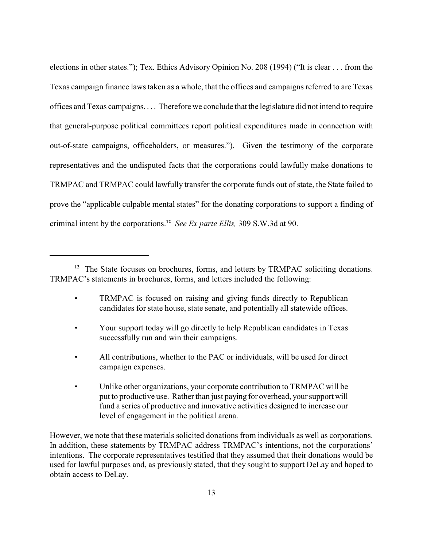elections in other states."); Tex. Ethics Advisory Opinion No. 208 (1994) ("It is clear . . . from the Texas campaign finance laws taken as a whole, that the offices and campaigns referred to are Texas offices and Texas campaigns. . . . Therefore we conclude that the legislature did not intend to require that general-purpose political committees report political expenditures made in connection with out-of-state campaigns, officeholders, or measures."). Given the testimony of the corporate representatives and the undisputed facts that the corporations could lawfully make donations to TRMPAC and TRMPAC could lawfully transfer the corporate funds out of state, the State failed to prove the "applicable culpable mental states" for the donating corporations to support a finding of criminal intent by the corporations.<sup>12</sup> See Ex parte Ellis, 309 S.W.3d at 90.

- TRMPAC is focused on raising and giving funds directly to Republican candidates for state house, state senate, and potentially all statewide offices.
- Your support today will go directly to help Republican candidates in Texas successfully run and win their campaigns.
- All contributions, whether to the PAC or individuals, will be used for direct campaign expenses.
- Unlike other organizations, your corporate contribution to TRMPAC will be put to productive use. Rather than just paying for overhead, your support will fund a series of productive and innovative activities designed to increase our level of engagement in the political arena.

However, we note that these materials solicited donations from individuals as well as corporations. In addition, these statements by TRMPAC address TRMPAC's intentions, not the corporations' intentions. The corporate representatives testified that they assumed that their donations would be used for lawful purposes and, as previously stated, that they sought to support DeLay and hoped to obtain access to DeLay.

<sup>&</sup>lt;sup>12</sup> The State focuses on brochures, forms, and letters by TRMPAC soliciting donations. TRMPAC's statements in brochures, forms, and letters included the following: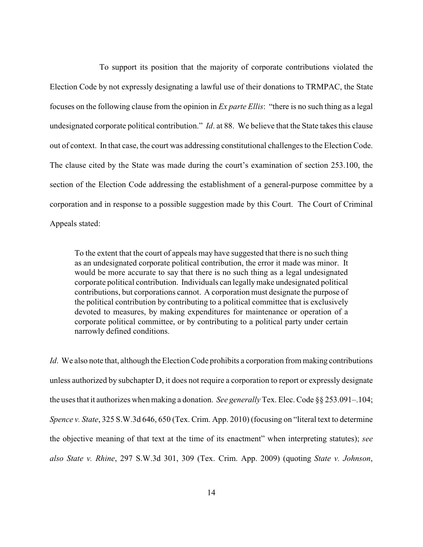To support its position that the majority of corporate contributions violated the Election Code by not expressly designating a lawful use of their donations to TRMPAC, the State focuses on the following clause from the opinion in *Ex parte Ellis*: "there is no such thing as a legal undesignated corporate political contribution." *Id*. at 88. We believe that the State takes this clause out of context. In that case, the court was addressing constitutional challenges to the Election Code. The clause cited by the State was made during the court's examination of section 253.100, the section of the Election Code addressing the establishment of a general-purpose committee by a corporation and in response to a possible suggestion made by this Court. The Court of Criminal Appeals stated:

To the extent that the court of appeals may have suggested that there is no such thing as an undesignated corporate political contribution, the error it made was minor. It would be more accurate to say that there is no such thing as a legal undesignated corporate political contribution. Individuals can legallymake undesignated political contributions, but corporations cannot. A corporation must designate the purpose of the political contribution by contributing to a political committee that is exclusively devoted to measures, by making expenditures for maintenance or operation of a corporate political committee, or by contributing to a political party under certain narrowly defined conditions.

*Id*. We also note that, although the Election Code prohibits a corporation from making contributions unless authorized by subchapter D, it does not require a corporation to report or expressly designate the uses that it authorizes when making a donation. *See generally* Tex. Elec. Code §§ 253.091–.104; *Spence v. State*, 325 S.W.3d 646, 650 (Tex. Crim. App. 2010) (focusing on "literal text to determine the objective meaning of that text at the time of its enactment" when interpreting statutes); *see also State v. Rhine*, 297 S.W.3d 301, 309 (Tex. Crim. App. 2009) (quoting *State v. Johnson*,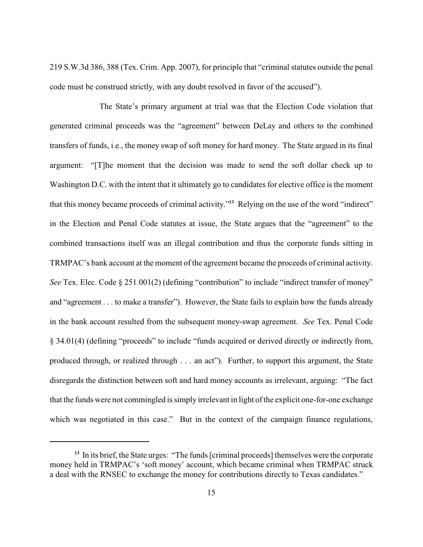219 S.W.3d 386, 388 (Tex. Crim. App. 2007), for principle that "criminal statutes outside the penal code must be construed strictly, with any doubt resolved in favor of the accused").

The State's primary argument at trial was that the Election Code violation that generated criminal proceeds was the "agreement" between DeLay and others to the combined transfers of funds, i.e., the money swap of soft money for hard money. The State argued in its final argument: "[T]he moment that the decision was made to send the soft dollar check up to Washington D.C. with the intent that it ultimately go to candidates for elective office is the moment that this money became proceeds of criminal activity."<sup>13</sup> Relying on the use of the word "indirect" in the Election and Penal Code statutes at issue, the State argues that the "agreement" to the combined transactions itself was an illegal contribution and thus the corporate funds sitting in TRMPAC's bank account at the moment of the agreement became the proceeds of criminal activity. *See* Tex. Elec. Code § 251.001(2) (defining "contribution" to include "indirect transfer of money" and "agreement . . . to make a transfer"). However, the State fails to explain how the funds already in the bank account resulted from the subsequent money-swap agreement. *See* Tex. Penal Code § 34.01(4) (defining "proceeds" to include "funds acquired or derived directly or indirectly from, produced through, or realized through . . . an act"). Further, to support this argument, the State disregards the distinction between soft and hard money accounts as irrelevant, arguing: "The fact that the funds were not commingled is simply irrelevant in light of the explicit one-for-one exchange which was negotiated in this case." But in the context of the campaign finance regulations,

<sup>&</sup>lt;sup>13</sup> In its brief, the State urges: "The funds [criminal proceeds] themselves were the corporate money held in TRMPAC's 'soft money' account, which became criminal when TRMPAC struck a deal with the RNSEC to exchange the money for contributions directly to Texas candidates."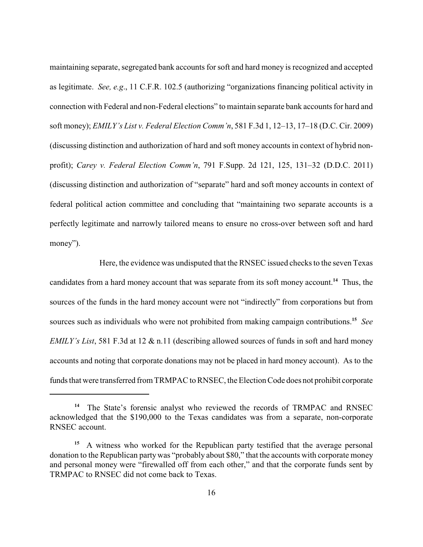maintaining separate, segregated bank accounts for soft and hard money is recognized and accepted as legitimate. *See, e.g*., 11 C.F.R. 102.5 (authorizing "organizations financing political activity in connection with Federal and non-Federal elections" to maintain separate bank accounts for hard and soft money); *EMILY's List v. Federal Election Comm'n*, 581 F.3d 1, 12–13, 17–18 (D.C. Cir. 2009) (discussing distinction and authorization of hard and soft money accounts in context of hybrid nonprofit); *Carey v. Federal Election Comm'n*, 791 F.Supp. 2d 121, 125, 131–32 (D.D.C. 2011) (discussing distinction and authorization of "separate" hard and soft money accounts in context of federal political action committee and concluding that "maintaining two separate accounts is a perfectly legitimate and narrowly tailored means to ensure no cross-over between soft and hard money").

Here, the evidence was undisputed that the RNSEC issued checks to the seven Texas candidates from a hard money account that was separate from its soft money account.<sup>14</sup> Thus, the sources of the funds in the hard money account were not "indirectly" from corporations but from sources such as individuals who were not prohibited from making campaign contributions.<sup>15</sup> See *EMILY's List*, 581 F.3d at 12 & n.11 (describing allowed sources of funds in soft and hard money accounts and noting that corporate donations may not be placed in hard money account). As to the funds that were transferred from TRMPAC to RNSEC, the Election Code does not prohibit corporate

<sup>&</sup>lt;sup>14</sup> The State's forensic analyst who reviewed the records of TRMPAC and RNSEC acknowledged that the \$190,000 to the Texas candidates was from a separate, non-corporate RNSEC account.

A witness who worked for the Republican party testified that the average personal **15** donation to the Republican partywas "probably about \$80," that the accounts with corporate money and personal money were "firewalled off from each other," and that the corporate funds sent by TRMPAC to RNSEC did not come back to Texas.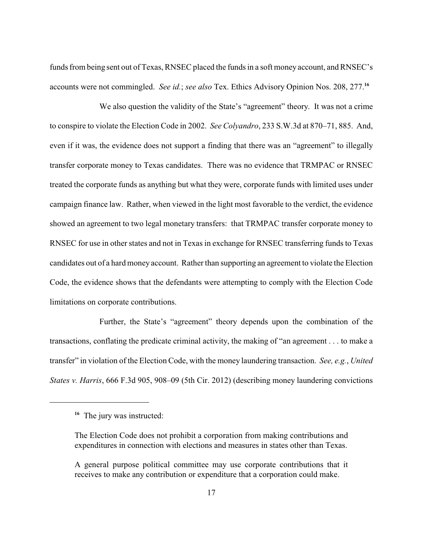funds from being sent out of Texas, RNSEC placed the funds in a soft money account, and RNSEC's accounts were not commingled. *See id.*; *see also* Tex. Ethics Advisory Opinion Nos. 208, 277.**<sup>16</sup>**

We also question the validity of the State's "agreement" theory. It was not a crime to conspire to violate the Election Code in 2002. *See Colyandro*, 233 S.W.3d at 870–71, 885. And, even if it was, the evidence does not support a finding that there was an "agreement" to illegally transfer corporate money to Texas candidates. There was no evidence that TRMPAC or RNSEC treated the corporate funds as anything but what they were, corporate funds with limited uses under campaign finance law. Rather, when viewed in the light most favorable to the verdict, the evidence showed an agreement to two legal monetary transfers: that TRMPAC transfer corporate money to RNSEC for use in other states and not in Texas in exchange for RNSEC transferring funds to Texas candidates out of a hard money account. Rather than supporting an agreement to violate the Election Code, the evidence shows that the defendants were attempting to comply with the Election Code limitations on corporate contributions.

Further, the State's "agreement" theory depends upon the combination of the transactions, conflating the predicate criminal activity, the making of "an agreement . . . to make a transfer" in violation of the Election Code, with the money laundering transaction. *See, e.g.*, *United States v. Harris*, 666 F.3d 905, 908–09 (5th Cir. 2012) (describing money laundering convictions

<sup>&</sup>lt;sup>16</sup> The jury was instructed:

The Election Code does not prohibit a corporation from making contributions and expenditures in connection with elections and measures in states other than Texas.

A general purpose political committee may use corporate contributions that it receives to make any contribution or expenditure that a corporation could make.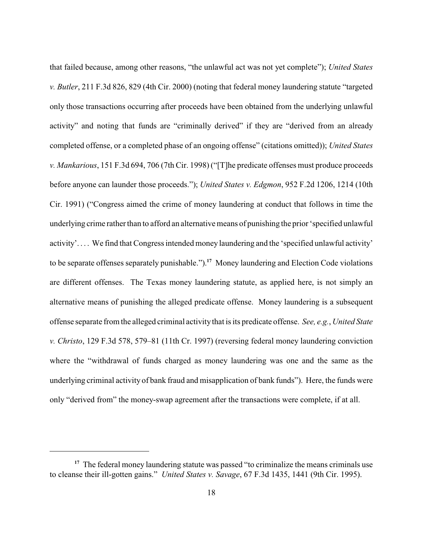that failed because, among other reasons, "the unlawful act was not yet complete"); *United States v. Butler*, 211 F.3d 826, 829 (4th Cir. 2000) (noting that federal money laundering statute "targeted only those transactions occurring after proceeds have been obtained from the underlying unlawful activity" and noting that funds are "criminally derived" if they are "derived from an already completed offense, or a completed phase of an ongoing offense" (citations omitted)); *United States v. Mankarious*, 151 F.3d 694, 706 (7th Cir. 1998) ("[T]he predicate offenses must produce proceeds before anyone can launder those proceeds."); *United States v. Edgmon*, 952 F.2d 1206, 1214 (10th Cir. 1991) ("Congress aimed the crime of money laundering at conduct that follows in time the underlying crime rather than to afford an alternative means of punishing the prior 'specified unlawful activity'. . . . We find that Congress intended money laundering and the 'specified unlawful activity' to be separate offenses separately punishable.").<sup>17</sup> Money laundering and Election Code violations are different offenses. The Texas money laundering statute, as applied here, is not simply an alternative means of punishing the alleged predicate offense. Money laundering is a subsequent offense separate from the alleged criminal activitythat is its predicate offense. *See, e.g.*, *United State v. Christo*, 129 F.3d 578, 579–81 (11th Cr. 1997) (reversing federal money laundering conviction where the "withdrawal of funds charged as money laundering was one and the same as the underlying criminal activity of bank fraud and misapplication of bank funds"). Here, the funds were only "derived from" the money-swap agreement after the transactions were complete, if at all.

<sup>&</sup>lt;sup>17</sup> The federal money laundering statute was passed "to criminalize the means criminals use to cleanse their ill-gotten gains." *United States v. Savage*, 67 F.3d 1435, 1441 (9th Cir. 1995).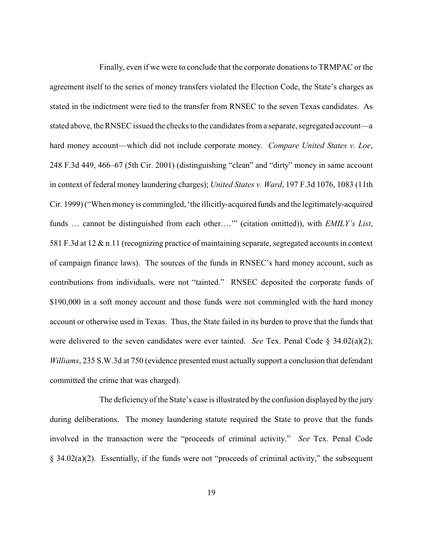Finally, even if we were to conclude that the corporate donations to TRMPAC or the agreement itself to the series of money transfers violated the Election Code, the State's charges as stated in the indictment were tied to the transfer from RNSEC to the seven Texas candidates. As stated above, the RNSEC issued the checks to the candidates from a separate, segregated account—a hard money account—which did not include corporate money. *Compare United States v. Loe*, 248 F.3d 449, 466–67 (5th Cir. 2001) (distinguishing "clean" and "dirty" money in same account in context of federal money laundering charges); *United States v. Ward*, 197 F.3d 1076, 1083 (11th Cir. 1999) ("When money is commingled, 'the illicitly-acquired funds and the legitimately-acquired funds … cannot be distinguished from each other….'" (citation omitted)), with *EMILY's List*, 581 F.3d at 12 & n.11 (recognizing practice of maintaining separate, segregated accounts in context of campaign finance laws). The sources of the funds in RNSEC's hard money account, such as contributions from individuals, were not "tainted." RNSEC deposited the corporate funds of \$190,000 in a soft money account and those funds were not commingled with the hard money account or otherwise used in Texas. Thus, the State failed in its burden to prove that the funds that were delivered to the seven candidates were ever tainted. *See* Tex. Penal Code § 34.02(a)(2); *Williams*, 235 S.W.3d at 750 (evidence presented must actually support a conclusion that defendant committed the crime that was charged).

The deficiency of the State's case is illustrated by the confusion displayed by the jury during deliberations. The money laundering statute required the State to prove that the funds involved in the transaction were the "proceeds of criminal activity." *See* Tex. Penal Code § 34.02(a)(2). Essentially, if the funds were not "proceeds of criminal activity," the subsequent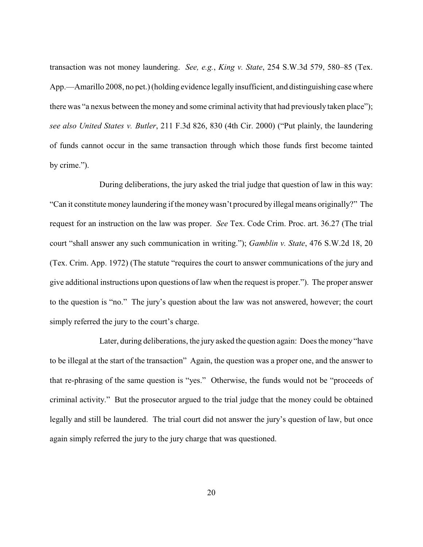transaction was not money laundering. *See, e.g.*, *King v. State*, 254 S.W.3d 579, 580–85 (Tex. App.—Amarillo 2008, no pet.) (holding evidence legally insufficient, and distinguishing casewhere there was "a nexus between the money and some criminal activity that had previously taken place"); *see also United States v. Butler*, 211 F.3d 826, 830 (4th Cir. 2000) ("Put plainly, the laundering of funds cannot occur in the same transaction through which those funds first become tainted by crime.").

During deliberations, the jury asked the trial judge that question of law in this way: "Can it constitute money laundering if the moneywasn't procured by illegal means originally?" The request for an instruction on the law was proper. *See* Tex. Code Crim. Proc. art. 36.27 (The trial court "shall answer any such communication in writing."); *Gamblin v. State*, 476 S.W.2d 18, 20 (Tex. Crim. App. 1972) (The statute "requires the court to answer communications of the jury and give additional instructions upon questions of law when the request is proper."). The proper answer to the question is "no." The jury's question about the law was not answered, however; the court simply referred the jury to the court's charge.

Later, during deliberations, the jury asked the question again: Does the money "have to be illegal at the start of the transaction" Again, the question was a proper one, and the answer to that re-phrasing of the same question is "yes." Otherwise, the funds would not be "proceeds of criminal activity." But the prosecutor argued to the trial judge that the money could be obtained legally and still be laundered. The trial court did not answer the jury's question of law, but once again simply referred the jury to the jury charge that was questioned.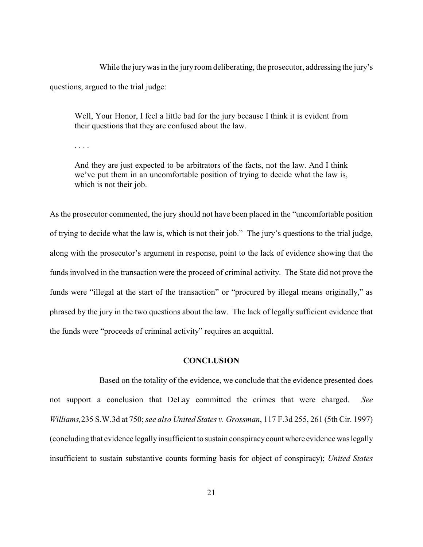While the jury was in the jury room deliberating, the prosecutor, addressing the jury's questions, argued to the trial judge:

Well, Your Honor, I feel a little bad for the jury because I think it is evident from their questions that they are confused about the law.

. . . .

And they are just expected to be arbitrators of the facts, not the law. And I think we've put them in an uncomfortable position of trying to decide what the law is, which is not their job.

As the prosecutor commented, the jury should not have been placed in the "uncomfortable position of trying to decide what the law is, which is not their job." The jury's questions to the trial judge, along with the prosecutor's argument in response, point to the lack of evidence showing that the funds involved in the transaction were the proceed of criminal activity. The State did not prove the funds were "illegal at the start of the transaction" or "procured by illegal means originally," as phrased by the jury in the two questions about the law. The lack of legally sufficient evidence that the funds were "proceeds of criminal activity" requires an acquittal.

# **CONCLUSION**

Based on the totality of the evidence, we conclude that the evidence presented does not support a conclusion that DeLay committed the crimes that were charged. *See Williams,*235 S.W.3d at 750; *see also United States v. Grossman*, 117 F.3d 255, 261 (5th Cir. 1997) (concluding that evidence legallyinsufficient to sustain conspiracycount where evidencewas legally insufficient to sustain substantive counts forming basis for object of conspiracy); *United States*